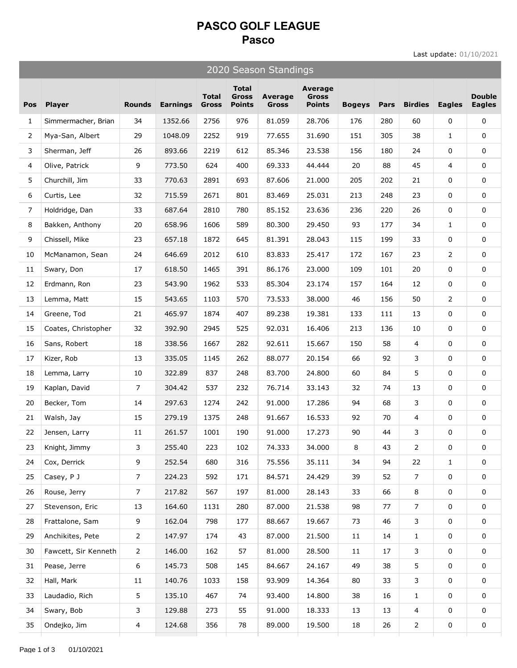## **PASCO GOLF LEAGUE Pasco**

Last update: 01/10/2021

| 2020 Season Standings |                      |                |                 |                              |                                               |                         |                                          |               |      |                |                |                                |
|-----------------------|----------------------|----------------|-----------------|------------------------------|-----------------------------------------------|-------------------------|------------------------------------------|---------------|------|----------------|----------------|--------------------------------|
| Pos                   | <b>Player</b>        | <b>Rounds</b>  | <b>Earnings</b> | <b>Total</b><br><b>Gross</b> | <b>Total</b><br><b>Gross</b><br><b>Points</b> | Average<br><b>Gross</b> | Average<br><b>Gross</b><br><b>Points</b> | <b>Bogeys</b> | Pars | <b>Birdies</b> | <b>Eagles</b>  | <b>Double</b><br><b>Eagles</b> |
| $\mathbf{1}$          | Simmermacher, Brian  | 34             | 1352.66         | 2756                         | 976                                           | 81.059                  | 28.706                                   | 176           | 280  | 60             | 0              | 0                              |
| $\overline{2}$        | Mya-San, Albert      | 29             | 1048.09         | 2252                         | 919                                           | 77.655                  | 31.690                                   | 151           | 305  | 38             | $\mathbf{1}$   | 0                              |
| 3                     | Sherman, Jeff        | 26             | 893.66          | 2219                         | 612                                           | 85.346                  | 23.538                                   | 156           | 180  | 24             | 0              | 0                              |
| $\overline{4}$        | Olive, Patrick       | 9              | 773.50          | 624                          | 400                                           | 69.333                  | 44.444                                   | 20            | 88   | 45             | $\overline{4}$ | 0                              |
| 5                     | Churchill, Jim       | 33             | 770.63          | 2891                         | 693                                           | 87.606                  | 21.000                                   | 205           | 202  | 21             | 0              | 0                              |
| 6                     | Curtis, Lee          | 32             | 715.59          | 2671                         | 801                                           | 83.469                  | 25.031                                   | 213           | 248  | 23             | 0              | 0                              |
| 7                     | Holdridge, Dan       | 33             | 687.64          | 2810                         | 780                                           | 85.152                  | 23.636                                   | 236           | 220  | 26             | 0              | 0                              |
| 8                     | Bakken, Anthony      | 20             | 658.96          | 1606                         | 589                                           | 80.300                  | 29.450                                   | 93            | 177  | 34             | $\mathbf{1}$   | 0                              |
| 9                     | Chissell, Mike       | 23             | 657.18          | 1872                         | 645                                           | 81.391                  | 28.043                                   | 115           | 199  | 33             | 0              | 0                              |
| 10                    | McManamon, Sean      | 24             | 646.69          | 2012                         | 610                                           | 83.833                  | 25.417                                   | 172           | 167  | 23             | $\mathbf{2}$   | 0                              |
| 11                    | Swary, Don           | 17             | 618.50          | 1465                         | 391                                           | 86.176                  | 23.000                                   | 109           | 101  | 20             | 0              | 0                              |
| 12                    | Erdmann, Ron         | 23             | 543.90          | 1962                         | 533                                           | 85.304                  | 23.174                                   | 157           | 164  | 12             | 0              | 0                              |
| 13                    | Lemma, Matt          | 15             | 543.65          | 1103                         | 570                                           | 73.533                  | 38.000                                   | 46            | 156  | 50             | $\overline{2}$ | 0                              |
| 14                    | Greene, Tod          | 21             | 465.97          | 1874                         | 407                                           | 89.238                  | 19.381                                   | 133           | 111  | 13             | 0              | 0                              |
| 15                    | Coates, Christopher  | 32             | 392.90          | 2945                         | 525                                           | 92.031                  | 16.406                                   | 213           | 136  | 10             | 0              | 0                              |
| 16                    | Sans, Robert         | 18             | 338.56          | 1667                         | 282                                           | 92.611                  | 15.667                                   | 150           | 58   | $\overline{4}$ | 0              | 0                              |
| 17                    | Kizer, Rob           | 13             | 335.05          | 1145                         | 262                                           | 88.077                  | 20.154                                   | 66            | 92   | 3              | 0              | 0                              |
| 18                    | Lemma, Larry         | 10             | 322.89          | 837                          | 248                                           | 83.700                  | 24.800                                   | 60            | 84   | 5              | 0              | 0                              |
| 19                    | Kaplan, David        | 7              | 304.42          | 537                          | 232                                           | 76.714                  | 33.143                                   | 32            | 74   | 13             | 0              | 0                              |
| 20                    | Becker, Tom          | 14             | 297.63          | 1274                         | 242                                           | 91.000                  | 17.286                                   | 94            | 68   | 3              | 0              | 0                              |
| 21                    | Walsh, Jay           | 15             | 279.19          | 1375                         | 248                                           | 91.667                  | 16.533                                   | 92            | 70   | 4              | 0              | 0                              |
| 22                    | Jensen, Larry        | 11             | 261.57          | 1001                         | 190                                           | 91.000                  | 17.273                                   | 90            | 44   | 3              | 0              | 0                              |
| 23                    | Knight, Jimmy        | 3              | 255.40          | 223                          | 102                                           | 74.333                  | 34.000                                   | 8             | 43   | $\overline{2}$ | 0              | 0                              |
| 24                    | Cox, Derrick         | 9              | 252.54          | 680                          | 316                                           | 75.556                  | 35.111                                   | 34            | 94   | 22             | $\mathbf{1}$   | 0                              |
| 25                    | Casey, P J           | 7              | 224.23          | 592                          | 171                                           | 84.571                  | 24.429                                   | 39            | 52   | 7              | 0              | 0                              |
| 26                    | Rouse, Jerry         | $\overline{7}$ | 217.82          | 567                          | 197                                           | 81.000                  | 28.143                                   | 33            | 66   | 8              | 0              | 0                              |
| 27                    | Stevenson, Eric      | 13             | 164.60          | 1131                         | 280                                           | 87.000                  | 21.538                                   | 98            | 77   | $\overline{7}$ | 0              | 0                              |
| 28                    | Frattalone, Sam      | 9              | 162.04          | 798                          | 177                                           | 88.667                  | 19.667                                   | 73            | 46   | 3              | 0              | 0                              |
| 29                    | Anchikites, Pete     | $\overline{2}$ | 147.97          | 174                          | 43                                            | 87.000                  | 21.500                                   | 11            | 14   | $\mathbf{1}$   | 0              | 0                              |
| 30                    | Fawcett, Sir Kenneth | $\overline{2}$ | 146.00          | 162                          | 57                                            | 81.000                  | 28.500                                   | 11            | 17   | 3              | 0              | 0                              |
| 31                    | Pease, Jerre         | 6              | 145.73          | 508                          | 145                                           | 84.667                  | 24.167                                   | 49            | 38   | 5              | 0              | 0                              |
| 32                    | Hall, Mark           | 11             | 140.76          | 1033                         | 158                                           | 93.909                  | 14.364                                   | 80            | 33   | 3              | 0              | 0                              |
| 33                    | Laudadio, Rich       | 5              | 135.10          | 467                          | 74                                            | 93.400                  | 14.800                                   | 38            | 16   | $\mathbf{1}$   | 0              | 0                              |
| 34                    | Swary, Bob           | 3              | 129.88          | 273                          | 55                                            | 91.000                  | 18.333                                   | 13            | 13   | 4              | 0              | 0                              |
| 35                    | Ondejko, Jim         | 4              | 124.68          | 356                          | 78                                            | 89.000                  | 19.500                                   | 18            | 26   | $\overline{2}$ | 0              | 0                              |
|                       |                      |                |                 |                              |                                               |                         |                                          |               |      |                |                |                                |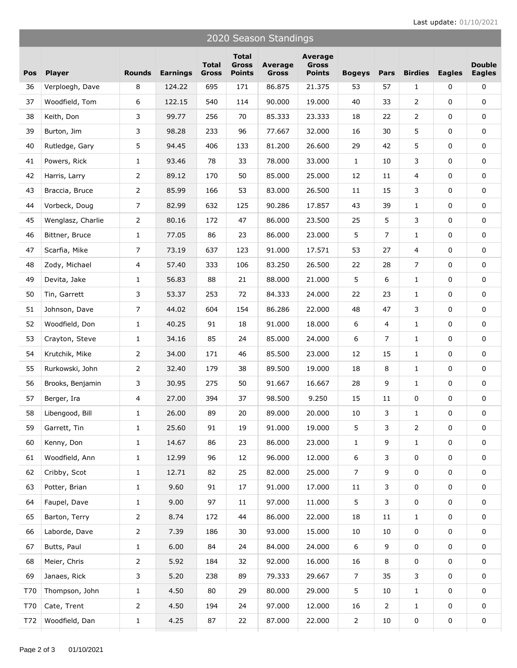| 2020 Season Standings |                   |                |                 |                       |                                        |                  |                                          |                |                |                |               |                                |
|-----------------------|-------------------|----------------|-----------------|-----------------------|----------------------------------------|------------------|------------------------------------------|----------------|----------------|----------------|---------------|--------------------------------|
| Pos                   | <b>Player</b>     | <b>Rounds</b>  | <b>Earnings</b> | <b>Total</b><br>Gross | <b>Total</b><br>Gross<br><b>Points</b> | Average<br>Gross | Average<br><b>Gross</b><br><b>Points</b> | <b>Bogeys</b>  | Pars           | <b>Birdies</b> | <b>Eagles</b> | <b>Double</b><br><b>Eagles</b> |
| 36                    | Verploegh, Dave   | 8              | 124.22          | 695                   | 171                                    | 86.875           | 21.375                                   | 53             | 57             | 1              | 0             | 0                              |
| 37                    | Woodfield, Tom    | 6              | 122.15          | 540                   | 114                                    | 90.000           | 19.000                                   | 40             | 33             | $\overline{2}$ | 0             | 0                              |
| 38                    | Keith, Don        | 3              | 99.77           | 256                   | 70                                     | 85.333           | 23.333                                   | 18             | 22             | $\overline{2}$ | 0             | 0                              |
| 39                    | Burton, Jim       | 3              | 98.28           | 233                   | 96                                     | 77.667           | 32.000                                   | 16             | 30             | 5              | 0             | 0                              |
| 40                    | Rutledge, Gary    | 5              | 94.45           | 406                   | 133                                    | 81.200           | 26.600                                   | 29             | 42             | 5              | 0             | $\mathbf 0$                    |
| 41                    | Powers, Rick      | $\mathbf{1}$   | 93.46           | 78                    | 33                                     | 78.000           | 33.000                                   | $\mathbf{1}$   | 10             | 3              | 0             | 0                              |
| 42                    | Harris, Larry     | 2              | 89.12           | 170                   | 50                                     | 85.000           | 25.000                                   | 12             | 11             | $\overline{4}$ | 0             | 0                              |
| 43                    | Braccia, Bruce    | 2              | 85.99           | 166                   | 53                                     | 83.000           | 26.500                                   | 11             | 15             | 3              | 0             | 0                              |
| 44                    | Vorbeck, Doug     | $\overline{7}$ | 82.99           | 632                   | 125                                    | 90.286           | 17.857                                   | 43             | 39             | $\mathbf{1}$   | 0             | 0                              |
| 45                    | Wenglasz, Charlie | 2              | 80.16           | 172                   | 47                                     | 86.000           | 23.500                                   | 25             | 5              | 3              | 0             | 0                              |
| 46                    | Bittner, Bruce    | $\mathbf{1}$   | 77.05           | 86                    | 23                                     | 86.000           | 23.000                                   | 5              | $\overline{7}$ | $\mathbf{1}$   | 0             | 0                              |
| 47                    | Scarfia, Mike     | 7              | 73.19           | 637                   | 123                                    | 91.000           | 17.571                                   | 53             | 27             | 4              | 0             | 0                              |
| 48                    | Zody, Michael     | 4              | 57.40           | 333                   | 106                                    | 83.250           | 26.500                                   | 22             | 28             | $\overline{7}$ | 0             | 0                              |
| 49                    | Devita, Jake      | 1              | 56.83           | 88                    | 21                                     | 88.000           | 21.000                                   | 5              | 6              | $\mathbf{1}$   | 0             | 0                              |
| 50                    | Tin, Garrett      | 3              | 53.37           | 253                   | 72                                     | 84.333           | 24.000                                   | 22             | 23             | $\mathbf{1}$   | 0             | 0                              |
| 51                    | Johnson, Dave     | 7              | 44.02           | 604                   | 154                                    | 86.286           | 22.000                                   | 48             | 47             | 3              | 0             | 0                              |
| 52                    | Woodfield, Don    | $\mathbf{1}$   | 40.25           | 91                    | 18                                     | 91.000           | 18.000                                   | 6              | 4              | $\mathbf{1}$   | 0             | 0                              |
| 53                    | Crayton, Steve    | 1              | 34.16           | 85                    | 24                                     | 85.000           | 24.000                                   | 6              | $\overline{7}$ | $\mathbf{1}$   | 0             | 0                              |
| 54                    | Krutchik, Mike    | $\overline{2}$ | 34.00           | 171                   | 46                                     | 85.500           | 23.000                                   | 12             | 15             | 1              | 0             | 0                              |
| 55                    | Rurkowski, John   | 2              | 32.40           | 179                   | 38                                     | 89.500           | 19.000                                   | 18             | 8              | $\mathbf{1}$   | 0             | 0                              |
| 56                    | Brooks, Benjamin  | 3              | 30.95           | 275                   | 50                                     | 91.667           | 16.667                                   | 28             | 9              | $\mathbf{1}$   | 0             | 0                              |
| 57                    | Berger, Ira       | 4              | 27.00           | 394                   | 37                                     | 98.500           | 9.250                                    | 15             | 11             | 0              | 0             | 0                              |
| 58                    | Libengood, Bill   | $\mathbf{1}$   | 26.00           | 89                    | 20                                     | 89.000           | 20.000                                   | $10\,$         | 3              | 1              | $\mathbf 0$   | 0                              |
| 59                    | Garrett, Tin      | $\mathbf{1}$   | 25.60           | 91                    | 19                                     | 91.000           | 19.000                                   | 5              | 3              | $\overline{2}$ | 0             | 0                              |
| 60                    | Kenny, Don        | 1              | 14.67           | 86                    | 23                                     | 86.000           | 23.000                                   | $\mathbf{1}$   | 9              | $\mathbf{1}$   | $\mathsf 0$   | 0                              |
| 61                    | Woodfield, Ann    | 1              | 12.99           | 96                    | 12                                     | 96.000           | 12.000                                   | $6\,$          | 3              | 0              | $\mathsf 0$   | 0                              |
| 62                    | Cribby, Scot      | 1              | 12.71           | 82                    | 25                                     | 82.000           | 25.000                                   | $\overline{7}$ | 9              | 0              | 0             | 0                              |
| 63                    | Potter, Brian     | $\mathbf{1}$   | 9.60            | 91                    | 17                                     | 91.000           | 17.000                                   | 11             | 3              | 0              | 0             | 0                              |
| 64                    | Faupel, Dave      | 1              | 9.00            | 97                    | 11                                     | 97.000           | 11.000                                   | 5              | 3              | 0              | 0             | 0                              |
| 65                    | Barton, Terry     | 2              | 8.74            | 172                   | 44                                     | 86.000           | 22.000                                   | 18             | 11             | $\mathbf{1}$   | 0             | 0                              |
| 66                    | Laborde, Dave     | 2              | 7.39            | 186                   | 30                                     | 93.000           | 15.000                                   | 10             | 10             | 0              | 0             | 0                              |
| 67                    | Butts, Paul       | 1              | 6.00            | 84                    | 24                                     | 84.000           | 24.000                                   | 6              | 9              | 0              | $\mathsf 0$   | 0                              |
| 68                    | Meier, Chris      | 2              | 5.92            | 184                   | 32                                     | 92.000           | 16.000                                   | 16             | 8              | 0              | $\mathsf 0$   | 0                              |
| 69                    | Janaes, Rick      | 3              | 5.20            | 238                   | 89                                     | 79.333           | 29.667                                   | $\overline{7}$ | 35             | 3              | $\mathsf 0$   | 0                              |
| T70                   | Thompson, John    | $\mathbf{1}$   | 4.50            | 80                    | 29                                     | 80.000           | 29.000                                   | 5              | 10             | $\mathbf{1}$   | 0             | 0                              |
| T70                   | Cate, Trent       | $\overline{2}$ | 4.50            | 194                   | 24                                     | 97.000           | 12.000                                   | 16             | $\overline{2}$ | $\mathbf{1}$   | 0             | 0                              |
| T72                   | Woodfield, Dan    | $\mathbf{1}$   | 4.25            | 87                    | 22                                     | 87.000           | 22.000                                   | $\overline{2}$ | 10             | 0              | 0             | 0                              |
|                       |                   |                |                 |                       |                                        |                  |                                          |                |                |                |               |                                |